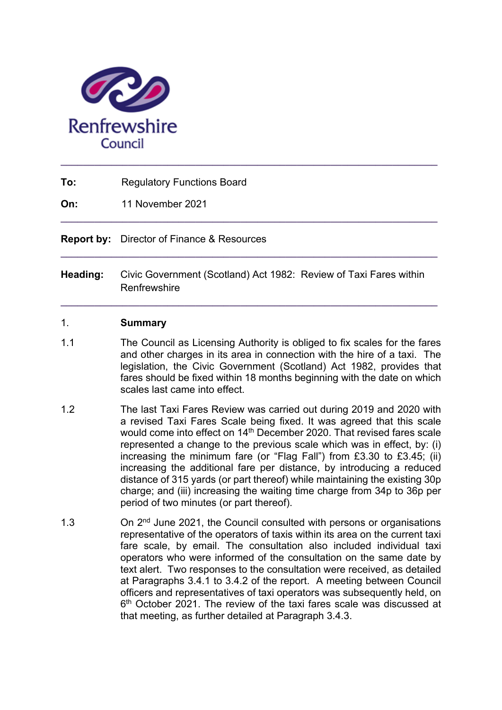

| To:<br><b>Regulatory Functions Board</b> |  |
|------------------------------------------|--|
|------------------------------------------|--|

**On:** 11 November 2021

**Report by:** Director of Finance & Resources

**Heading:** Civic Government (Scotland) Act 1982: Review of Taxi Fares within **Renfrewshire** 

**\_\_\_\_\_\_\_\_\_\_\_\_\_\_\_\_\_\_\_\_\_\_\_\_\_\_\_\_\_\_\_\_\_\_\_\_\_\_\_\_\_\_\_\_\_\_\_\_\_\_\_\_\_\_\_\_\_\_\_\_\_\_\_\_\_\_\_** 

**\_\_\_\_\_\_\_\_\_\_\_\_\_\_\_\_\_\_\_\_\_\_\_\_\_\_\_\_\_\_\_\_\_\_\_\_\_\_\_\_\_\_\_\_\_\_\_\_\_\_\_\_\_\_\_\_\_\_\_\_\_\_\_\_\_\_\_** 

**\_\_\_\_\_\_\_\_\_\_\_\_\_\_\_\_\_\_\_\_\_\_\_\_\_\_\_\_\_\_\_\_\_\_\_\_\_\_\_\_\_\_\_\_\_\_\_\_\_\_\_\_\_\_\_\_\_\_\_\_\_\_\_\_\_\_\_** 

#### 1. **Summary**

- 1.1 The Council as Licensing Authority is obliged to fix scales for the fares and other charges in its area in connection with the hire of a taxi. The legislation, the Civic Government (Scotland) Act 1982, provides that fares should be fixed within 18 months beginning with the date on which scales last came into effect.
- 1.2 The last Taxi Fares Review was carried out during 2019 and 2020 with a revised Taxi Fares Scale being fixed. It was agreed that this scale would come into effect on 14<sup>th</sup> December 2020. That revised fares scale represented a change to the previous scale which was in effect, by: (i) increasing the minimum fare (or "Flag Fall") from £3.30 to £3.45; (ii) increasing the additional fare per distance, by introducing a reduced distance of 315 yards (or part thereof) while maintaining the existing 30p charge; and (iii) increasing the waiting time charge from 34p to 36p per period of two minutes (or part thereof).
- 1.3 On 2<sup>nd</sup> June 2021, the Council consulted with persons or organisations representative of the operators of taxis within its area on the current taxi fare scale, by email. The consultation also included individual taxi operators who were informed of the consultation on the same date by text alert. Two responses to the consultation were received, as detailed at Paragraphs 3.4.1 to 3.4.2 of the report. A meeting between Council officers and representatives of taxi operators was subsequently held, on 6<sup>th</sup> October 2021. The review of the taxi fares scale was discussed at that meeting, as further detailed at Paragraph 3.4.3.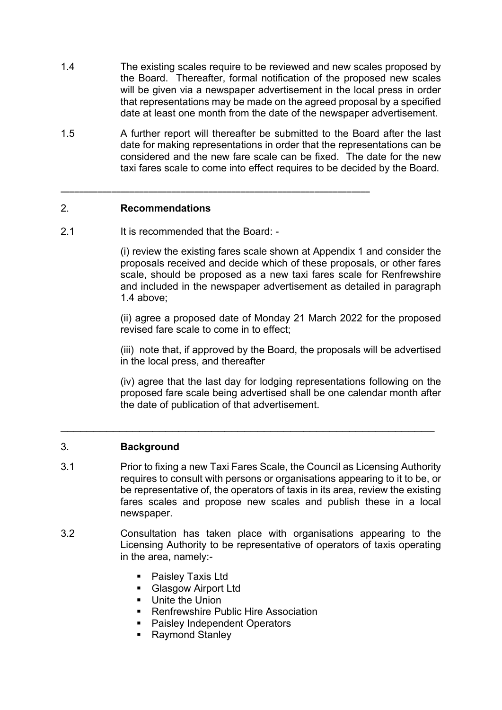- 1.4 The existing scales require to be reviewed and new scales proposed by the Board. Thereafter, formal notification of the proposed new scales will be given via a newspaper advertisement in the local press in order that representations may be made on the agreed proposal by a specified date at least one month from the date of the newspaper advertisement.
- 1.5 A further report will thereafter be submitted to the Board after the last date for making representations in order that the representations can be considered and the new fare scale can be fixed. The date for the new taxi fares scale to come into effect requires to be decided by the Board.

**\_\_\_\_\_\_\_\_\_\_\_\_\_\_\_\_\_\_\_\_\_\_\_\_\_\_\_\_\_\_\_\_\_\_\_\_\_\_\_\_\_\_\_\_\_\_\_\_\_\_\_\_\_\_\_\_\_\_\_\_\_\_\_\_\_\_\_** 

## 2. **Recommendations**

2.1 It is recommended that the Board: -

(i) review the existing fares scale shown at Appendix 1 and consider the proposals received and decide which of these proposals, or other fares scale, should be proposed as a new taxi fares scale for Renfrewshire and included in the newspaper advertisement as detailed in paragraph 1.4 above;

(ii) agree a proposed date of Monday 21 March 2022 for the proposed revised fare scale to come in to effect;

(iii) note that, if approved by the Board, the proposals will be advertised in the local press, and thereafter

(iv) agree that the last day for lodging representations following on the proposed fare scale being advertised shall be one calendar month after the date of publication of that advertisement.

## 3. **Background**

3.1 Prior to fixing a new Taxi Fares Scale, the Council as Licensing Authority requires to consult with persons or organisations appearing to it to be, or be representative of, the operators of taxis in its area, review the existing fares scales and propose new scales and publish these in a local newspaper.

\_\_\_\_\_\_\_\_\_\_\_\_\_\_\_\_\_\_\_\_\_\_\_\_\_\_\_\_\_\_\_\_\_\_\_\_\_\_\_\_\_\_\_\_\_\_\_\_\_\_\_\_\_\_\_\_\_

- 3.2 Consultation has taken place with organisations appearing to the Licensing Authority to be representative of operators of taxis operating in the area, namely:-
	- **Paisley Taxis Ltd**
	- **Glasgow Airport Ltd**
	- Unite the Union
	- Renfrewshire Public Hire Association
	- **Paisley Independent Operators**
	- Raymond Stanley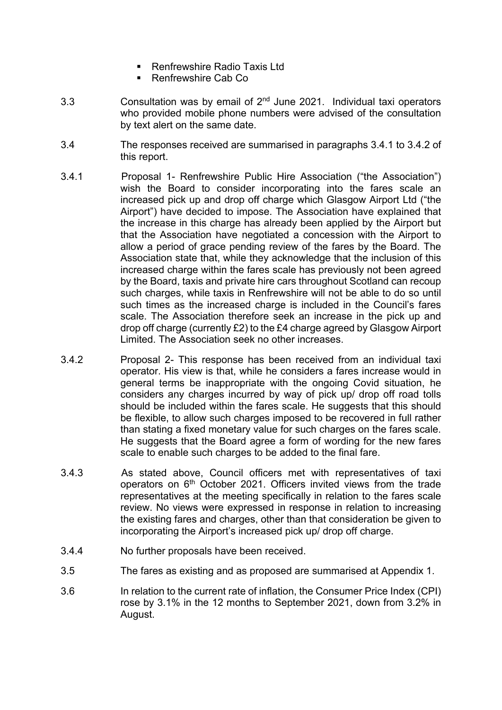- Renfrewshire Radio Taxis Ltd
- Renfrewshire Cab Co
- 3.3 **Consultation was by email of**  $2^{nd}$  **June 2021. Individual taxi operators** who provided mobile phone numbers were advised of the consultation by text alert on the same date.
- 3.4 The responses received are summarised in paragraphs 3.4.1 to 3.4.2 of this report.
- 3.4.1 Proposal 1- Renfrewshire Public Hire Association ("the Association") wish the Board to consider incorporating into the fares scale an increased pick up and drop off charge which Glasgow Airport Ltd ("the Airport") have decided to impose. The Association have explained that the increase in this charge has already been applied by the Airport but that the Association have negotiated a concession with the Airport to allow a period of grace pending review of the fares by the Board. The Association state that, while they acknowledge that the inclusion of this increased charge within the fares scale has previously not been agreed by the Board, taxis and private hire cars throughout Scotland can recoup such charges, while taxis in Renfrewshire will not be able to do so until such times as the increased charge is included in the Council's fares scale. The Association therefore seek an increase in the pick up and drop off charge (currently £2) to the £4 charge agreed by Glasgow Airport Limited. The Association seek no other increases.
- 3.4.2 Proposal 2- This response has been received from an individual taxi operator. His view is that, while he considers a fares increase would in general terms be inappropriate with the ongoing Covid situation, he considers any charges incurred by way of pick up/ drop off road tolls should be included within the fares scale. He suggests that this should be flexible, to allow such charges imposed to be recovered in full rather than stating a fixed monetary value for such charges on the fares scale. He suggests that the Board agree a form of wording for the new fares scale to enable such charges to be added to the final fare.
- 3.4.3 As stated above, Council officers met with representatives of taxi operators on 6th October 2021. Officers invited views from the trade representatives at the meeting specifically in relation to the fares scale review. No views were expressed in response in relation to increasing the existing fares and charges, other than that consideration be given to incorporating the Airport's increased pick up/ drop off charge.
- 3.4.4 No further proposals have been received.
- 3.5 The fares as existing and as proposed are summarised at Appendix 1.
- 3.6 In relation to the current rate of inflation, the Consumer Price Index (CPI) rose by 3.1% in the 12 months to September 2021, down from 3.2% in August.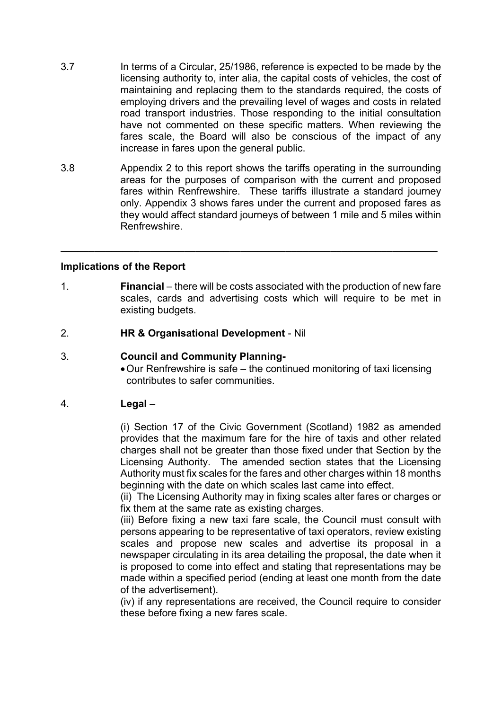- 3.7 In terms of a Circular, 25/1986, reference is expected to be made by the licensing authority to, inter alia, the capital costs of vehicles, the cost of maintaining and replacing them to the standards required, the costs of employing drivers and the prevailing level of wages and costs in related road transport industries. Those responding to the initial consultation have not commented on these specific matters. When reviewing the fares scale, the Board will also be conscious of the impact of any increase in fares upon the general public.
- 3.8 Appendix 2 to this report shows the tariffs operating in the surrounding areas for the purposes of comparison with the current and proposed fares within Renfrewshire. These tariffs illustrate a standard journey only. Appendix 3 shows fares under the current and proposed fares as they would affect standard journeys of between 1 mile and 5 miles within Renfrewshire.

**\_\_\_\_\_\_\_\_\_\_\_\_\_\_\_\_\_\_\_\_\_\_\_\_\_\_\_\_\_\_\_\_\_\_\_\_\_\_\_\_\_\_\_\_\_\_\_\_\_\_\_\_\_\_\_\_\_\_\_\_\_\_\_\_\_\_\_** 

#### **Implications of the Report**

- 1. **Financial** there will be costs associated with the production of new fare scales, cards and advertising costs which will require to be met in existing budgets.
- 2. **HR & Organisational Development** Nil

#### 3. **Council and Community Planning-**

 Our Renfrewshire is safe – the continued monitoring of taxi licensing contributes to safer communities.

## 4. **Legal** –

(i) Section 17 of the Civic Government (Scotland) 1982 as amended provides that the maximum fare for the hire of taxis and other related charges shall not be greater than those fixed under that Section by the Licensing Authority. The amended section states that the Licensing Authority must fix scales for the fares and other charges within 18 months beginning with the date on which scales last came into effect.

(ii) The Licensing Authority may in fixing scales alter fares or charges or fix them at the same rate as existing charges.

(iii) Before fixing a new taxi fare scale, the Council must consult with persons appearing to be representative of taxi operators, review existing scales and propose new scales and advertise its proposal in a newspaper circulating in its area detailing the proposal, the date when it is proposed to come into effect and stating that representations may be made within a specified period (ending at least one month from the date of the advertisement).

(iv) if any representations are received, the Council require to consider these before fixing a new fares scale.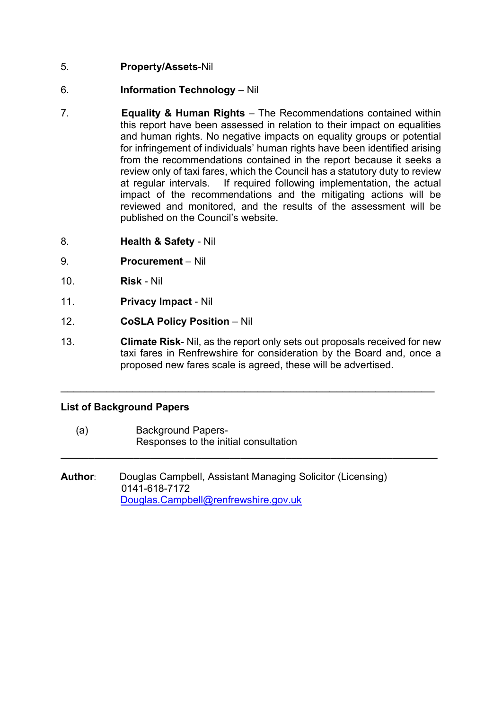## 5. **Property/Assets**-Nil

- 6. **Information Technology** Nil
- 7. **Equality & Human Rights** The Recommendations contained within this report have been assessed in relation to their impact on equalities and human rights. No negative impacts on equality groups or potential for infringement of individuals' human rights have been identified arising from the recommendations contained in the report because it seeks a review only of taxi fares, which the Council has a statutory duty to review at regular intervals. If required following implementation, the actual impact of the recommendations and the mitigating actions will be reviewed and monitored, and the results of the assessment will be published on the Council's website.
- 8. **Health & Safety** Nil
- 9. **Procurement** Nil
- 10. **Risk** Nil
- 11. **Privacy Impact** Nil
- 12. **CoSLA Policy Position** Nil
- 13. **Climate Risk** Nil, as the report only sets out proposals received for new taxi fares in Renfrewshire for consideration by the Board and, once a proposed new fares scale is agreed, these will be advertised.

 $\mathcal{L}_\text{max}$  , and the contribution of the contribution of the contribution of the contribution of the contribution of the contribution of the contribution of the contribution of the contribution of the contribution of t

**\_\_\_\_\_\_\_\_\_\_\_\_\_\_\_\_\_\_\_\_\_\_\_\_\_\_\_\_\_\_\_\_\_\_\_\_\_\_\_\_\_\_\_\_\_\_\_\_\_\_\_\_\_\_\_\_\_\_\_\_\_\_\_\_\_\_\_** 

## **List of Background Papers**

- (a) Background Papers-Responses to the initial consultation
- **Author**: Douglas Campbell, Assistant Managing Solicitor (Licensing) 0141-618-7172 Douglas.Campbell@renfrewshire.gov.uk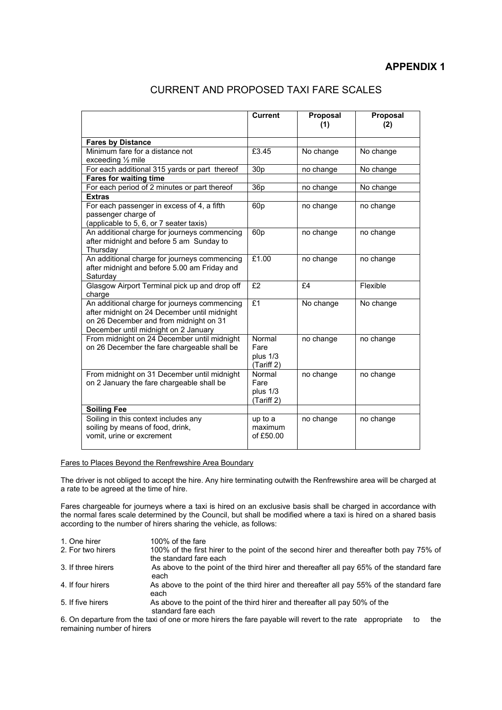### **APPENDIX 1**

|                                                                                                                                                                                | <b>Current</b>                           | Proposal<br>(1) | Proposal<br>(2) |
|--------------------------------------------------------------------------------------------------------------------------------------------------------------------------------|------------------------------------------|-----------------|-----------------|
| <b>Fares by Distance</b>                                                                                                                                                       |                                          |                 |                 |
| Minimum fare for a distance not<br>exceeding $\frac{1}{2}$ mile                                                                                                                | £3.45                                    | No change       | No change       |
| For each additional 315 yards or part thereof                                                                                                                                  | 30 <sub>p</sub>                          | no change       | No change       |
| <b>Fares for waiting time</b>                                                                                                                                                  |                                          |                 |                 |
| For each period of 2 minutes or part thereof                                                                                                                                   | 36p                                      | no change       | No change       |
| <b>Extras</b>                                                                                                                                                                  |                                          |                 |                 |
| For each passenger in excess of 4, a fifth<br>passenger charge of<br>(applicable to 5, 6, or 7 seater taxis)                                                                   | 60 <sub>p</sub>                          | no change       | no change       |
| An additional charge for journeys commencing<br>after midnight and before 5 am Sunday to<br>Thursdav                                                                           | 60 <sub>p</sub>                          | no change       | no change       |
| An additional charge for journeys commencing<br>after midnight and before 5.00 am Friday and<br>Saturdav                                                                       | £1.00                                    | no change       | no change       |
| Glasgow Airport Terminal pick up and drop off<br>charge                                                                                                                        | £2                                       | E4              | Flexible        |
| An additional charge for journeys commencing<br>after midnight on 24 December until midnight<br>on 26 December and from midnight on 31<br>December until midnight on 2 January | f1                                       | No change       | No change       |
| From midnight on 24 December until midnight<br>on 26 December the fare chargeable shall be                                                                                     | Normal<br>Fare<br>plus 1/3<br>(Tariff 2) | no change       | no change       |
| From midnight on 31 December until midnight<br>on 2 January the fare chargeable shall be                                                                                       | Normal<br>Fare<br>plus 1/3<br>(Tariff 2) | no change       | no change       |
| <b>Soiling Fee</b>                                                                                                                                                             |                                          |                 |                 |
| Soiling in this context includes any<br>soiling by means of food, drink,<br>vomit, urine or excrement                                                                          | up to a<br>maximum<br>of £50.00          | no change       | no change       |

#### Fares to Places Beyond the Renfrewshire Area Boundary

The driver is not obliged to accept the hire. Any hire terminating outwith the Renfrewshire area will be charged at a rate to be agreed at the time of hire.

Fares chargeable for journeys where a taxi is hired on an exclusive basis shall be charged in accordance with the normal fares scale determined by the Council, but shall be modified where a taxi is hired on a shared basis according to the number of hirers sharing the vehicle, as follows:

| 1. One hirer       | 100% of the fare                                                                                                  |
|--------------------|-------------------------------------------------------------------------------------------------------------------|
| 2. For two hirers  | 100% of the first hirer to the point of the second hirer and thereafter both pay 75% of<br>the standard fare each |
| 3. If three hirers | As above to the point of the third hirer and thereafter all pay 65% of the standard fare<br>each                  |
| 4. If four hirers  | As above to the point of the third hirer and thereafter all pay 55% of the standard fare<br>each                  |
| 5. If five hirers  | As above to the point of the third hirer and thereafter all pay 50% of the<br>standard fare each                  |
|                    |                                                                                                                   |

6. On departure from the taxi of one or more hirers the fare payable will revert to the rate appropriate to the remaining number of hirers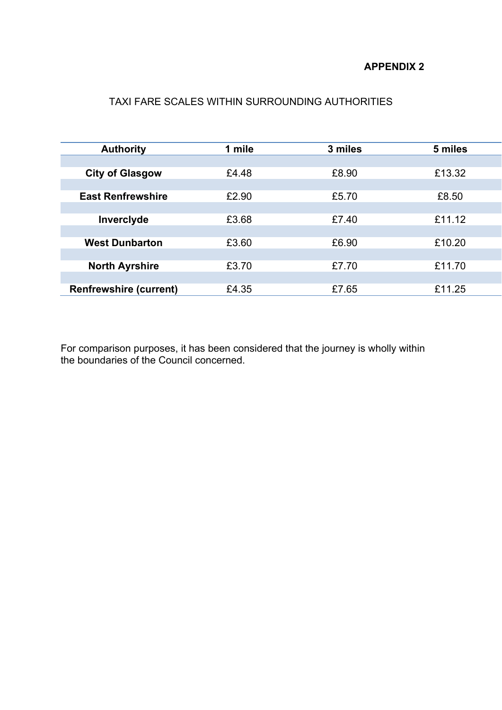## **APPENDIX 2**

# TAXI FARE SCALES WITHIN SURROUNDING AUTHORITIES

| <b>Authority</b>              | 1 mile | 3 miles | 5 miles |
|-------------------------------|--------|---------|---------|
|                               |        |         |         |
| <b>City of Glasgow</b>        | £4.48  | £8.90   | £13.32  |
|                               |        |         |         |
| <b>East Renfrewshire</b>      | £2.90  | £5.70   | £8.50   |
|                               |        |         |         |
| Inverclyde                    | £3.68  | £7.40   | £11.12  |
|                               |        |         |         |
| <b>West Dunbarton</b>         | £3.60  | £6.90   | £10.20  |
|                               |        |         |         |
| <b>North Ayrshire</b>         | £3.70  | £7.70   | £11.70  |
|                               |        |         |         |
| <b>Renfrewshire (current)</b> | £4.35  | £7.65   | £11.25  |

For comparison purposes, it has been considered that the journey is wholly within the boundaries of the Council concerned.